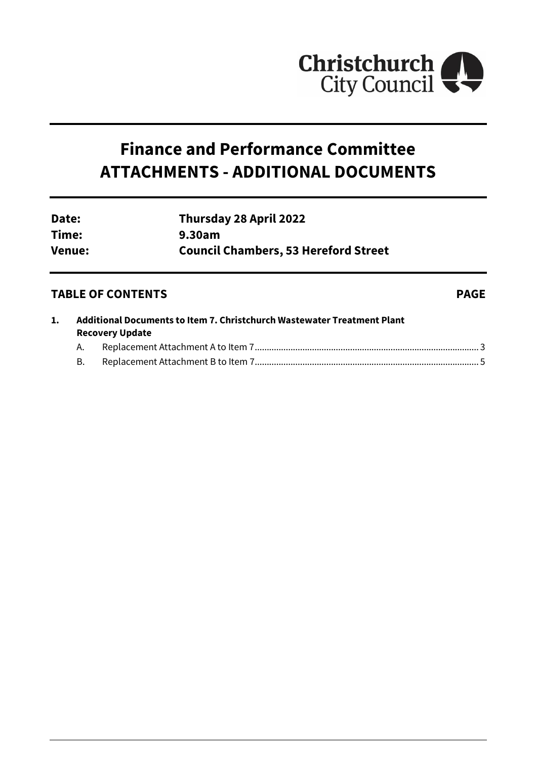

## **Finance and Performance Committee ATTACHMENTS - ADDITIONAL DOCUMENTS**

| Date:         | Thursday 28 April 2022                      |
|---------------|---------------------------------------------|
| Time:         | 9.30am                                      |
| <b>Venue:</b> | <b>Council Chambers, 53 Hereford Street</b> |

### **TABLE OF CONTENTS PAGE**

| Additional Documents to Item 7. Christchurch Wastewater Treatment Plant<br><b>Recovery Update</b> |  |  |
|---------------------------------------------------------------------------------------------------|--|--|
| A.                                                                                                |  |  |
| <b>B.</b>                                                                                         |  |  |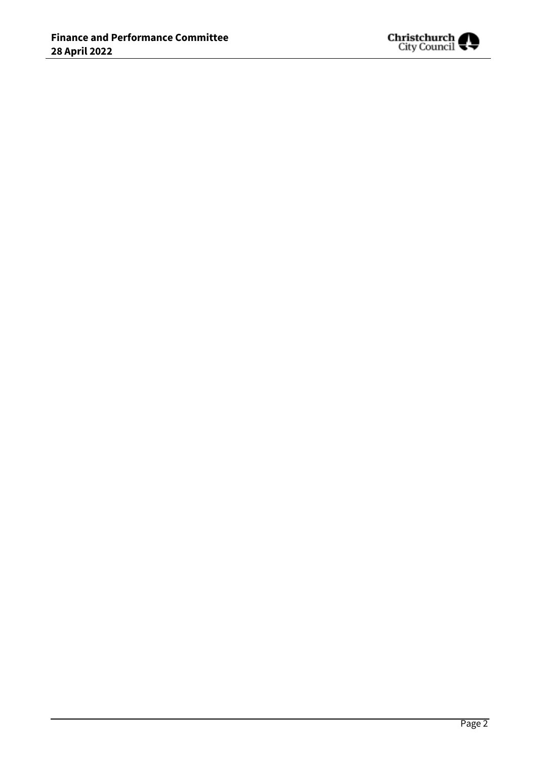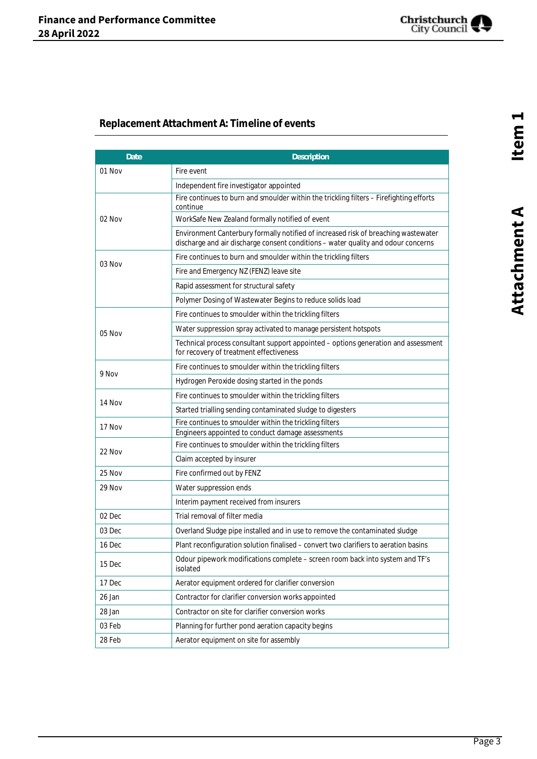### <span id="page-2-0"></span>**Replacement Attachment A: Timeline of events**

| Date   | Description                                                                                                                                                             |
|--------|-------------------------------------------------------------------------------------------------------------------------------------------------------------------------|
| 01 Nov | Fire event                                                                                                                                                              |
|        | Independent fire investigator appointed                                                                                                                                 |
|        | Fire continues to burn and smoulder within the trickling filters - Firefighting efforts<br>continue                                                                     |
| 02 Nov | WorkSafe New Zealand formally notified of event                                                                                                                         |
|        | Environment Canterbury formally notified of increased risk of breaching wastewater<br>discharge and air discharge consent conditions - water quality and odour concerns |
|        | Fire continues to burn and smoulder within the trickling filters                                                                                                        |
| 03 Nov | Fire and Emergency NZ (FENZ) leave site                                                                                                                                 |
|        | Rapid assessment for structural safety                                                                                                                                  |
|        | Polymer Dosing of Wastewater Begins to reduce solids load                                                                                                               |
|        | Fire continues to smoulder within the trickling filters                                                                                                                 |
| 05 Nov | Water suppression spray activated to manage persistent hotspots                                                                                                         |
|        | Technical process consultant support appointed - options generation and assessment<br>for recovery of treatment effectiveness                                           |
|        | Fire continues to smoulder within the trickling filters                                                                                                                 |
| 9 Nov  | Hydrogen Peroxide dosing started in the ponds                                                                                                                           |
|        | Fire continues to smoulder within the trickling filters                                                                                                                 |
| 14 Nov | Started trialling sending contaminated sludge to digesters                                                                                                              |
| 17 Nov | Fire continues to smoulder within the trickling filters                                                                                                                 |
|        | Engineers appointed to conduct damage assessments<br>Fire continues to smoulder within the trickling filters                                                            |
| 22 Nov | Claim accepted by insurer                                                                                                                                               |
| 25 Nov |                                                                                                                                                                         |
| 29 Nov | Fire confirmed out by FENZ<br>Water suppression ends                                                                                                                    |
|        |                                                                                                                                                                         |
|        | Interim payment received from insurers<br>Trial removal of filter media                                                                                                 |
| 02 Dec |                                                                                                                                                                         |
| 03 Dec | Overland Sludge pipe installed and in use to remove the contaminated sludge                                                                                             |
| 16 Dec | Plant reconfiguration solution finalised – convert two clarifiers to aeration basins                                                                                    |
| 15 Dec | Odour pipework modifications complete - screen room back into system and TF's<br>isolated                                                                               |
| 17 Dec | Aerator equipment ordered for clarifier conversion                                                                                                                      |
| 26 Jan | Contractor for clarifier conversion works appointed                                                                                                                     |
| 28 Jan | Contractor on site for clarifier conversion works                                                                                                                       |
| 03 Feb | Planning for further pond aeration capacity begins                                                                                                                      |
| 28 Feb | Aerator equipment on site for assembly                                                                                                                                  |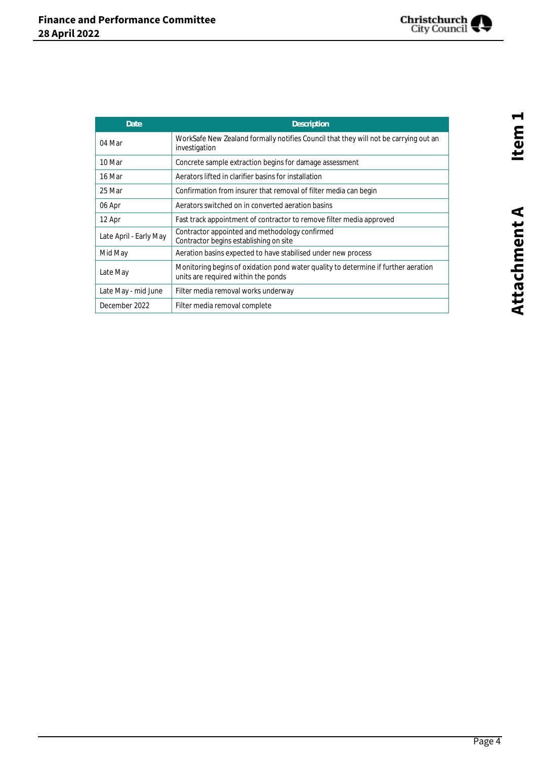| Date                   | <b>Description</b>                                                                                                        |
|------------------------|---------------------------------------------------------------------------------------------------------------------------|
| 04 Mar                 | WorkSafe New Zealand formally notifies Council that they will not be carrying out an<br>investigation                     |
| 10 Mar                 | Concrete sample extraction begins for damage assessment                                                                   |
| 16 Mar                 | Aerators lifted in clarifier basins for installation                                                                      |
| 25 Mar                 | Confirmation from insurer that removal of filter media can begin                                                          |
| 06 Apr                 | Aerators switched on in converted aeration basins                                                                         |
| 12 Apr                 | Fast track appointment of contractor to remove filter media approved                                                      |
| Late April - Early May | Contractor appointed and methodology confirmed<br>Contractor begins establishing on site                                  |
| Mid May                | Aeration basins expected to have stabilised under new process                                                             |
| Late May               | Monitoring begins of oxidation pond water quality to determine if further aeration<br>units are required within the ponds |
| Late May - mid June    | Filter media removal works underway                                                                                       |
| December 2022          | Filter media removal complete                                                                                             |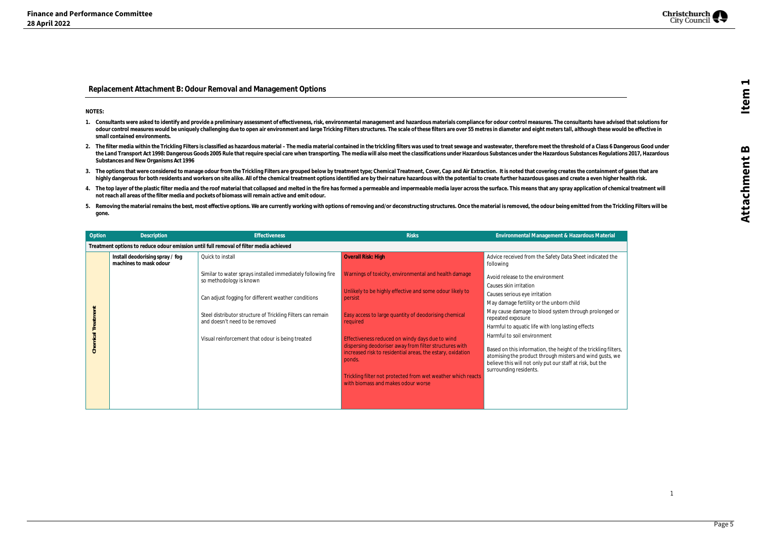$\blacktriangleright$ 

Sheet indicated the

mough prolonged or

of the trickling filters, and wind qusts, we at risk, but the

### <span id="page-4-0"></span>**Replacement Attachment B: Odour Removal and Management Options**

### **NOTES:**

- 1. Consultants were asked to identify and provide a preliminary assessment of effectiveness, risk, environmental management and hazardous materials compliance for odour control measures. The consultants have advised that s odour control measures would be uniquely challenging due to open air environment and large Tricking Filters structures. The scale of these filters are over 55 metres in diameter and eight meters tall, although these would **small contained environments.**
- 2. The filter media within the Trickling Filters is classified as hazardous material The media material contained in the trickling filters was used to treat sewage and wastewater, therefore meet the threshold of a Class the Land Transport Act 1998: Dangerous Goods 2005 Rule that require special care when transporting. The media will also meet the classifications under Hazardous Substances under the Hazardous Substances Regulations 2017, H **Substances and New Organisms Act 1996**
- 3. The options that were considered to manage odour from the Trickling Filters are grouped below by treatment type; Chemical Treatment, Cover, Cap and Air Extraction. It is noted that covering creates the containment of ga highly dangerous for both residents and workers on site alike. All of the chemical treatment options identified are by their nature hazardous with the potential to create further hazardous gases and create a even higher he
- 4. The top layer of the plastic filter media and the roof material that collapsed and melted in the fire has formed a permeable and impermeable media layer across the surface. This means that any spray application of chemi **not reach all areas of the filter media and pockets of biomass will remain active and emit odour.**
- 5. Removing the material remains the best, most effective options. We are currently working with options of removing and/or deconstructing structures. Once the material is removed, the odour being emitted from the Tricklin **gone.**

| Option             | Description                                               | <b>Effectiveness</b>                                                                    | <b>Risks</b>                                                                                                                   | Environmental Management & Hazardous Material                                                                                                                                                                  |
|--------------------|-----------------------------------------------------------|-----------------------------------------------------------------------------------------|--------------------------------------------------------------------------------------------------------------------------------|----------------------------------------------------------------------------------------------------------------------------------------------------------------------------------------------------------------|
|                    |                                                           | Treatment options to reduce odour emission until full removal of filter media achieved  |                                                                                                                                |                                                                                                                                                                                                                |
|                    | Install deodorising spray / fog<br>machines to mask odour | Quick to install                                                                        | Overall Risk: High                                                                                                             | Advice received from the Safety Data Sheet indicated th<br>following                                                                                                                                           |
|                    |                                                           | Similar to water sprays installed immediately following fire<br>so methodology is known | Warnings of toxicity, environmental and health damage                                                                          | Avoid release to the environment                                                                                                                                                                               |
|                    |                                                           |                                                                                         | Unlikely to be highly effective and some odour likely to                                                                       | Causes skin irritation                                                                                                                                                                                         |
|                    |                                                           | Can adjust fogging for different weather conditions                                     | persist                                                                                                                        | Causes serious eye irritation<br>May damage fertility or the unborn child                                                                                                                                      |
|                    |                                                           | Steel distributor structure of Trickling Filters can remain                             | Easy access to large quantity of deodorising chemical                                                                          | May cause damage to blood system through prolonged<br>repeated exposure                                                                                                                                        |
|                    | and doesn't need to be removed                            |                                                                                         | required                                                                                                                       | Harmful to aquatic life with long lasting effects                                                                                                                                                              |
|                    |                                                           | Visual reinforcement that odour is being treated                                        | Effectiveness reduced on windy days due to wind                                                                                | Harmful to soil environment                                                                                                                                                                                    |
| Chemical Treatment |                                                           |                                                                                         | dispersing deodoriser away from filter structures with<br>increased risk to residential areas, the estary, oxidation<br>ponds. | Based on this information, the height of the trickling filte<br>atomising the product through misters and wind gusts, v<br>believe this will not only put our staff at risk, but the<br>surrounding residents. |
|                    |                                                           |                                                                                         | Trickling filter not protected from wet weather which reacts<br>with biomass and makes odour worse                             |                                                                                                                                                                                                                |
|                    |                                                           |                                                                                         |                                                                                                                                |                                                                                                                                                                                                                |

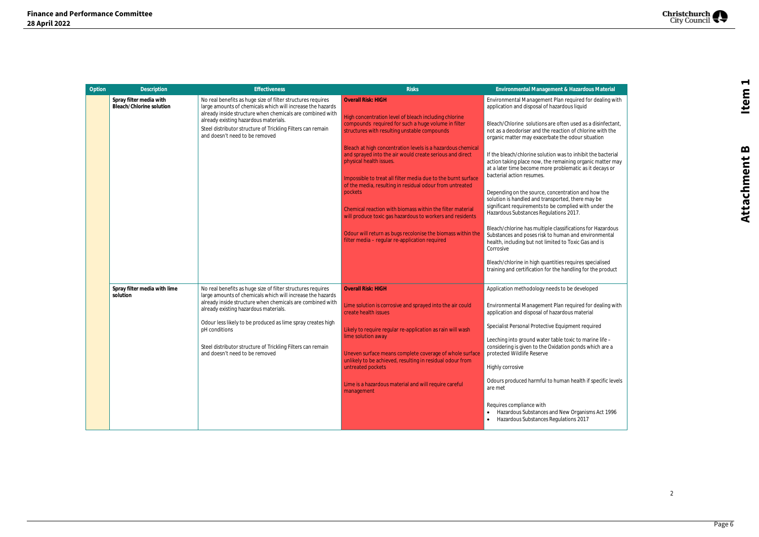| Option | Description                                         | <b>Effectiveness</b>                                                                                                                                                                                                            | <b>Risks</b>                                                                                                                              | Environmental Management & Hazardous Material                                                                                                                                                                     |
|--------|-----------------------------------------------------|---------------------------------------------------------------------------------------------------------------------------------------------------------------------------------------------------------------------------------|-------------------------------------------------------------------------------------------------------------------------------------------|-------------------------------------------------------------------------------------------------------------------------------------------------------------------------------------------------------------------|
|        | Spray filter media with<br>Bleach/Chlorine solution | No real benefits as huge size of filter structures requires<br>large amounts of chemicals which will increase the hazards<br>already inside structure when chemicals are combined with<br>already existing hazardous materials. | <b>Overall Risk: HIGH</b><br>High concentration level of bleach including chlorine<br>compounds required for such a huge volume in filter | Environmental Management Plan required for dealing with<br>application and disposal of hazardous liquid<br>Bleach/Chlorine solutions are often used as a disinfectant,                                            |
|        |                                                     | Steel distributor structure of Trickling Filters can remain<br>and doesn't need to be removed                                                                                                                                   | structures with resulting unstable compounds<br>Bleach at high concentration levels is a hazardous chemical                               | not as a deodoriser and the reaction of chlorine with the<br>organic matter may exacerbate the odour situation                                                                                                    |
|        |                                                     |                                                                                                                                                                                                                                 | and sprayed into the air would create serious and direct<br>physical health issues.                                                       | If the bleach/chlorine solution was to inhibit the bacterial<br>action taking place now, the remaining organic matter may<br>at a later time become more problematic as it decays or<br>bacterial action resumes. |
|        |                                                     |                                                                                                                                                                                                                                 | Impossible to treat all filter media due to the burnt surface<br>of the media, resulting in residual odour from untreated<br>pockets      | Depending on the source, concentration and how the<br>solution is handled and transported, there may be                                                                                                           |
|        |                                                     |                                                                                                                                                                                                                                 | Chemical reaction with biomass within the filter material<br>will produce toxic gas hazardous to workers and residents                    | significant requirements to be complied with under the<br>Hazardous Substances Regulations 2017.<br>Bleach/chlorine has multiple classifications for Hazardous                                                    |
|        |                                                     |                                                                                                                                                                                                                                 | Odour will return as bugs recolonise the biomass within the<br>filter media - regular re-application required                             | Substances and poses risk to human and environmental<br>health, including but not limited to Toxic Gas and is<br>Corrosive                                                                                        |
|        |                                                     |                                                                                                                                                                                                                                 |                                                                                                                                           | Bleach/chlorine in high quantities requires specialised<br>training and certification for the handling for the product                                                                                            |
|        | Spray filter media with lime<br>solution            | No real benefits as huge size of filter structures requires<br>large amounts of chemicals which will increase the hazards<br>already inside structure when chemicals are combined with                                          | <b>Overall Risk: HIGH</b><br>Lime solution is corrosive and sprayed into the air could                                                    | Application methodology needs to be developed<br>Environmental Management Plan required for dealing with                                                                                                          |
|        |                                                     | already existing hazardous materials.<br>Odour less likely to be produced as lime spray creates high<br>pH conditions                                                                                                           | create health issues<br>Likely to require regular re-application as rain will wash                                                        | application and disposal of hazardous material<br>Specialist Personal Protective Equipment required                                                                                                               |
|        |                                                     | Steel distributor structure of Trickling Filters can remain<br>and doesn't need to be removed                                                                                                                                   | lime solution away<br>Uneven surface means complete coverage of whole surface                                                             | Leeching into ground water table toxic to marine life -<br>considering is given to the Oxidation ponds which are a<br>protected Wildlife Reserve                                                                  |
|        |                                                     |                                                                                                                                                                                                                                 | unlikely to be achieved, resulting in residual odour from<br>untreated pockets                                                            | Highly corrosive                                                                                                                                                                                                  |
|        |                                                     |                                                                                                                                                                                                                                 | Lime is a hazardous material and will require careful<br>management                                                                       | Odours produced harmful to human health if specific levels<br>are met                                                                                                                                             |
|        |                                                     |                                                                                                                                                                                                                                 |                                                                                                                                           | Requires compliance with<br>• Hazardous Substances and New Organisms Act 1996<br>• Hazardous Substances Regulations 2017                                                                                          |

# Christchurch<br>City Council

Item<sub>1</sub> **Attachment B Item 1** Attachment B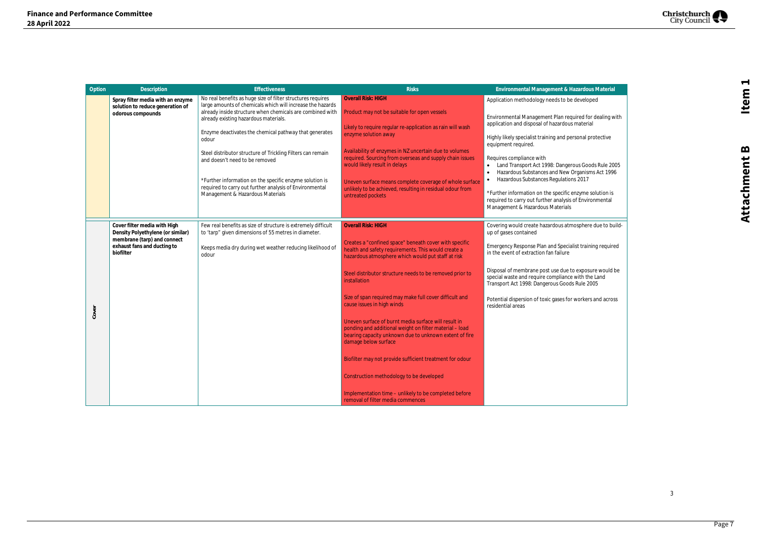| Option | Description                                                                                                                                  | <b>Effectiveness</b>                                                                                                                                                                                                                                                                                                                                                                                                                                                                                                                                          | <b>Risks</b>                                                                                                                                                                                                                                                                                                                                                                                                                                                                                                                                                                                                                                                                                                                                                                     | Environmental Management & Hazardous Material                                                                                                                                                                                                                                                                                                                                                                                                                                                                                                                                              |
|--------|----------------------------------------------------------------------------------------------------------------------------------------------|---------------------------------------------------------------------------------------------------------------------------------------------------------------------------------------------------------------------------------------------------------------------------------------------------------------------------------------------------------------------------------------------------------------------------------------------------------------------------------------------------------------------------------------------------------------|----------------------------------------------------------------------------------------------------------------------------------------------------------------------------------------------------------------------------------------------------------------------------------------------------------------------------------------------------------------------------------------------------------------------------------------------------------------------------------------------------------------------------------------------------------------------------------------------------------------------------------------------------------------------------------------------------------------------------------------------------------------------------------|--------------------------------------------------------------------------------------------------------------------------------------------------------------------------------------------------------------------------------------------------------------------------------------------------------------------------------------------------------------------------------------------------------------------------------------------------------------------------------------------------------------------------------------------------------------------------------------------|
|        | Spray filter media with an enzyme<br>solution to reduce generation of<br>odorous compounds                                                   | No real benefits as huge size of filter structures requires<br>large amounts of chemicals which will increase the hazards<br>already inside structure when chemicals are combined with<br>already existing hazardous materials.<br>Enzyme deactivates the chemical pathway that generates<br>odour<br>Steel distributor structure of Trickling Filters can remain<br>and doesn't need to be removed<br>*Further information on the specific enzyme solution is<br>required to carry out further analysis of Environmental<br>Management & Hazardous Materials | <b>Overall Risk: HIGH</b><br>Product may not be suitable for open vessels<br>Likely to require regular re-application as rain will wash<br>enzyme solution away<br>Availability of enzymes in NZ uncertain due to volumes<br>required. Sourcing from overseas and supply chain issues<br>would likely result in delays<br>Uneven surface means complete coverage of whole surface<br>unlikely to be achieved, resulting in residual odour from<br>untreated pockets                                                                                                                                                                                                                                                                                                              | Application methodology needs to be developed<br>Environmental Management Plan required for dealing with<br>application and disposal of hazardous material<br>Highly likely specialist training and personal protective<br>equipment required.<br>Requires compliance with<br>• Land Transport Act 1998: Dangerous Goods Rule 2005<br>• Hazardous Substances and New Organisms Act 1996<br>Hazardous Substances Regulations 2017<br>*Further information on the specific enzyme solution is<br>required to carry out further analysis of Environmental<br>Management & Hazardous Materials |
| Cover  | Cover filter media with High<br>Density Polyethylene (or similar)<br>membrane (tarp) and connect<br>exhaust fans and ducting to<br>biofilter | Few real benefits as size of structure is extremely difficult<br>to 'tarp" given dimensions of 55 metres in diameter.<br>Keeps media dry during wet weather reducing likelihood of<br>odour                                                                                                                                                                                                                                                                                                                                                                   | <b>Overall Risk: HIGH</b><br>Creates a "confined space" beneath cover with specific<br>health and safety requirements. This would create a<br>hazardous atmosphere which would put staff at risk<br>Steel distributor structure needs to be removed prior to<br>installation<br>Size of span required may make full cover difficult and<br>cause issues in high winds<br>Uneven surface of burnt media surface will result in<br>ponding and additional weight on filter material - load<br>bearing capacity unknown due to unknown extent of fire<br>damage below surface<br>Biofilter may not provide sufficient treatment for odour<br>Construction methodology to be developed<br>Implementation time - unlikely to be completed before<br>removal of filter media commences | Covering would create hazardous atmosphere due to build-<br>up of gases contained<br>Emergency Response Plan and Specialist training required<br>in the event of extraction fan failure<br>Disposal of membrane post use due to exposure would be<br>special waste and require compliance with the Land<br>Transport Act 1998: Dangerous Goods Rule 2005<br>Potential dispersion of toxic gases for workers and across<br>residential areas                                                                                                                                                |

# Christchurch<br>City Council

Item<sub>1</sub> **Attachment B Item 1** Attachment B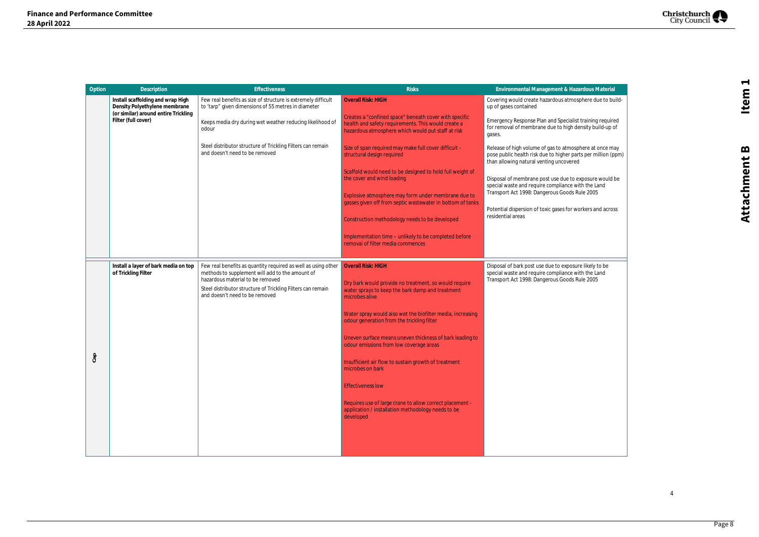4

| Option | Description                                                                                                | <b>Effectiveness</b>                                                                                                                                                                                                                                  | <b>Risks</b>                                                                                                                                                        | Environmental Management & Hazardous Material                                                                                                                       |
|--------|------------------------------------------------------------------------------------------------------------|-------------------------------------------------------------------------------------------------------------------------------------------------------------------------------------------------------------------------------------------------------|---------------------------------------------------------------------------------------------------------------------------------------------------------------------|---------------------------------------------------------------------------------------------------------------------------------------------------------------------|
|        | Install scaffolding and wrap High<br>Density Polyethylene membrane<br>(or similar) around entire Trickling | Few real benefits as size of structure is extremely difficult<br>to 'tarp" given dimensions of 55 metres in diameter                                                                                                                                  | <b>Overall Risk: HIGH</b>                                                                                                                                           | Covering would create hazardous atmosphere due to build-<br>up of gases contained                                                                                   |
|        | Filter (full cover)                                                                                        | Keeps media dry during wet weather reducing likelihood of<br>odour                                                                                                                                                                                    | Creates a "confined space" beneath cover with specific<br>health and safety requirements. This would create a<br>hazardous atmosphere which would put staff at risk | Emergency Response Plan and Specialist training required<br>for removal of membrane due to high density build-up of<br>gases.                                       |
|        |                                                                                                            | Steel distributor structure of Trickling Filters can remain<br>and doesn't need to be removed                                                                                                                                                         | Size of span required may make full cover difficult -<br>structural design required                                                                                 | Release of high volume of gas to atmosphere at once may<br>pose public health risk due to higher parts per million (ppm)<br>than allowing natural venting uncovered |
|        |                                                                                                            |                                                                                                                                                                                                                                                       | Scaffold would need to be designed to hold full weight of<br>the cover and wind loading                                                                             | Disposal of membrane post use due to exposure would be<br>special waste and require compliance with the Land<br>Transport Act 1998: Dangerous Goods Rule 2005       |
|        |                                                                                                            |                                                                                                                                                                                                                                                       | Explosive atmosphere may form under membrane due to<br>gasses given off from septic wastewater in bottom of tanks                                                   | Potential dispersion of toxic gases for workers and across                                                                                                          |
|        |                                                                                                            |                                                                                                                                                                                                                                                       | Construction methodology needs to be developed                                                                                                                      | residential areas                                                                                                                                                   |
|        |                                                                                                            |                                                                                                                                                                                                                                                       | Implementation time - unlikely to be completed before<br>removal of filter media commences                                                                          |                                                                                                                                                                     |
|        | Install a layer of bark media on top<br>of Trickling Filter                                                | Few real benefits as quantity required as well as using other<br>methods to supplement will add to the amount of<br>hazardous material to be removed<br>Steel distributor structure of Trickling Filters can remain<br>and doesn't need to be removed | <b>Overall Risk: HIGH</b><br>Dry bark would provide no treatment, so would require<br>water sprays to keep the bark damp and treatment<br>microbes alive            | Disposal of bark post use due to exposure likely to be<br>special waste and require compliance with the Land<br>Transport Act 1998: Dangerous Goods Rule 2005       |
|        |                                                                                                            |                                                                                                                                                                                                                                                       | Water spray would also wet the biofilter media, increasing<br>odour generation from the trickling filter                                                            |                                                                                                                                                                     |
|        |                                                                                                            |                                                                                                                                                                                                                                                       | Uneven surface means uneven thickness of bark leading to<br>odour emissions from low coverage areas                                                                 |                                                                                                                                                                     |
| Cap    |                                                                                                            |                                                                                                                                                                                                                                                       | Insufficient air flow to sustain growth of treatment<br>microbes on bark                                                                                            |                                                                                                                                                                     |
|        |                                                                                                            |                                                                                                                                                                                                                                                       | <b>Effectiveness low</b>                                                                                                                                            |                                                                                                                                                                     |
|        |                                                                                                            |                                                                                                                                                                                                                                                       | Requires use of large crane to allow correct placement -<br>application / installation methodology needs to be<br>developed                                         |                                                                                                                                                                     |
|        |                                                                                                            |                                                                                                                                                                                                                                                       |                                                                                                                                                                     |                                                                                                                                                                     |
|        |                                                                                                            |                                                                                                                                                                                                                                                       |                                                                                                                                                                     |                                                                                                                                                                     |

# Christchurch<br>City Council

Item<sub>1</sub> **Attachment B Item 1** Attachment B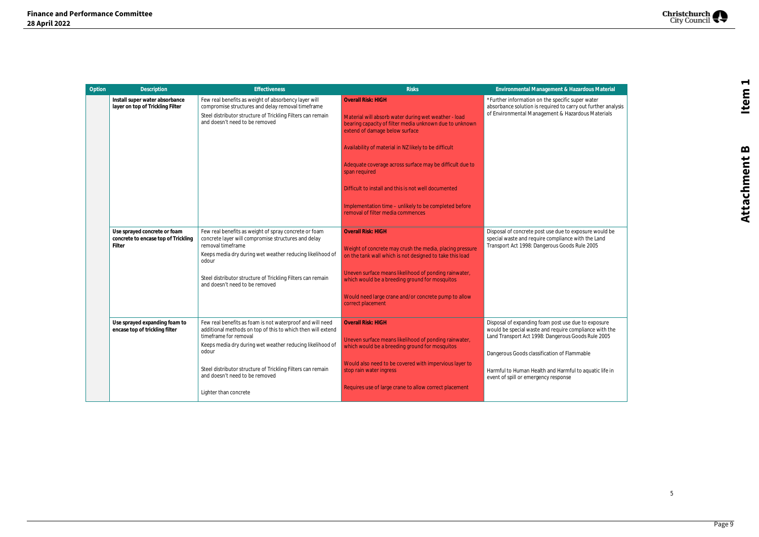| Option | Description                                                                   | <b>Effectiveness</b>                                                                                                                                                                                                                                                                                                                              | <b>Risks</b>                                                                                                                                                                                                                                                                                                                                                                                                                                                               | Environmental Management & Hazardous Material                                                                                                                                                                                                                                                                        |
|--------|-------------------------------------------------------------------------------|---------------------------------------------------------------------------------------------------------------------------------------------------------------------------------------------------------------------------------------------------------------------------------------------------------------------------------------------------|----------------------------------------------------------------------------------------------------------------------------------------------------------------------------------------------------------------------------------------------------------------------------------------------------------------------------------------------------------------------------------------------------------------------------------------------------------------------------|----------------------------------------------------------------------------------------------------------------------------------------------------------------------------------------------------------------------------------------------------------------------------------------------------------------------|
|        | Install super water absorbance<br>layer on top of Trickling Filter            | Few real benefits as weight of absorbency layer will<br>compromise structures and delay removal timeframe<br>Steel distributor structure of Trickling Filters can remain<br>and doesn't need to be removed                                                                                                                                        | <b>Overall Risk: HIGH</b><br>Material will absorb water during wet weather - load<br>bearing capacity of filter media unknown due to unknown<br>extend of damage below surface<br>Availability of material in NZ likely to be difficult<br>Adequate coverage across surface may be difficult due to<br>span required<br>Difficult to install and this is not well documented<br>Implementation time - unlikely to be completed before<br>removal of filter media commences | *Further information on the specific super water<br>absorbance solution is required to carry out further analysis<br>of Environmental Management & Hazardous Materials                                                                                                                                               |
|        | Use sprayed concrete or foam<br>concrete to encase top of Trickling<br>Filter | Few real benefits as weight of spray concrete or foam<br>concrete layer will compromise structures and delay<br>removal timeframe<br>Keeps media dry during wet weather reducing likelihood of<br>odour<br>Steel distributor structure of Trickling Filters can remain<br>and doesn't need to be removed                                          | <b>Overall Risk: HIGH</b><br>Weight of concrete may crush the media, placing pressure<br>on the tank wall which is not designed to take this load<br>Uneven surface means likelihood of ponding rainwater,<br>which would be a breeding ground for mosquitos<br>Would need large crane and/or concrete pump to allow<br>correct placement                                                                                                                                  | Disposal of concrete post use due to exposure would be<br>special waste and require compliance with the Land<br>Transport Act 1998: Dangerous Goods Rule 2005                                                                                                                                                        |
|        | Use sprayed expanding foam to<br>encase top of trickling filter               | Few real benefits as foam is not waterproof and will need<br>additional methods on top of this to which then will extend<br>timeframe for removal<br>Keeps media dry during wet weather reducing likelihood of<br>odour<br>Steel distributor structure of Trickling Filters can remain<br>and doesn't need to be removed<br>Lighter than concrete | <b>Overall Risk: HIGH</b><br>Uneven surface means likelihood of ponding rainwater,<br>which would be a breeding ground for mosquitos<br>Would also need to be covered with impervious layer to<br>stop rain water ingress<br>Requires use of large crane to allow correct placement                                                                                                                                                                                        | Disposal of expanding foam post use due to exposure<br>would be special waste and require compliance with the<br>Land Transport Act 1998: Dangerous Goods Rule 2005<br>Dangerous Goods classification of Flammable<br>Harmful to Human Health and Harmful to aquatic life in<br>event of spill or emergency response |



Item<sub>1</sub> **Attachment B Item 1** Attachment B